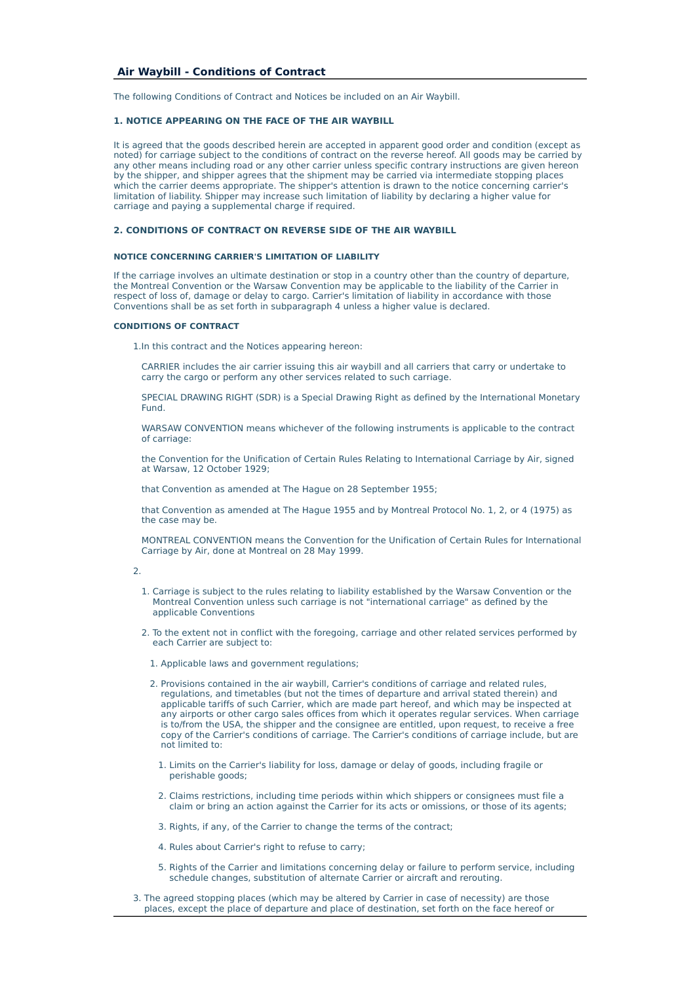# **Air Waybill - Conditions of Contract**

The following Conditions of Contract and Notices be included on an Air Waybill.

## **1. NOTICE APPEARING ON THE FACE OF THE AIR WAYBILL**

It is agreed that the goods described herein are accepted in apparent good order and condition (except as noted) for carriage subject to the conditions of contract on the reverse hereof. All goods may be carried by any other means including road or any other carrier unless specific contrary instructions are given hereon by the shipper, and shipper agrees that the shipment may be carried via intermediate stopping places which the carrier deems appropriate. The shipper's attention is drawn to the notice concerning carrier's limitation of liability. Shipper may increase such limitation of liability by declaring a higher value for carriage and paying a supplemental charge if required.

### **2. CONDITIONS OF CONTRACT ON REVERSE SIDE OF THE AIR WAYBILL**

### **NOTICE CONCERNING CARRIER'S LIMITATION OF LIABILITY**

If the carriage involves an ultimate destination or stop in a country other than the country of departure, the Montreal Convention or the Warsaw Convention may be applicable to the liability of the Carrier in respect of loss of, damage or delay to cargo. Carrier's limitation of liability in accordance with those Conventions shall be as set forth in subparagraph 4 unless a higher value is declared.

#### **CONDITIONS OF CONTRACT**

1.In this contract and the Notices appearing hereon:

 CARRIER includes the air carrier issuing this air waybill and all carriers that carry or undertake to carry the cargo or perform any other services related to such carriage.

 SPECIAL DRAWING RIGHT (SDR) is a Special Drawing Right as defined by the International Monetary Fund.

 WARSAW CONVENTION means whichever of the following instruments is applicable to the contract of carriage:

 the Convention for the Unification of Certain Rules Relating to International Carriage by Air, signed at Warsaw, 12 October 1929;

that Convention as amended at The Hague on 28 September 1955;

 that Convention as amended at The Hague 1955 and by Montreal Protocol No. 1, 2, or 4 (1975) as the case may be.

 MONTREAL CONVENTION means the Convention for the Unification of Certain Rules for International Carriage by Air, done at Montreal on 28 May 1999.

### $\overline{2}$

- 1. Carriage is subject to the rules relating to liability established by the Warsaw Convention or the Montreal Convention unless such carriage is not "international carriage" as defined by the applicable Conventions
	- 2. To the extent not in conflict with the foregoing, carriage and other related services performed by each Carrier are subject to:
		- 1. Applicable laws and government regulations;
		- 2. Provisions contained in the air waybill, Carrier's conditions of carriage and related rules, regulations, and timetables (but not the times of departure and arrival stated therein) and applicable tariffs of such Carrier, which are made part hereof, and which may be inspected at any airports or other cargo sales offices from which it operates regular services. When carriage is to/from the USA, the shipper and the consignee are entitled, upon request, to receive a free copy of the Carrier's conditions of carriage. The Carrier's conditions of carriage include, but are not limited to:
			- 1. Limits on the Carrier's liability for loss, damage or delay of goods, including fragile or perishable goods;
			- 2. Claims restrictions, including time periods within which shippers or consignees must file a claim or bring an action against the Carrier for its acts or omissions, or those of its agents;
			- 3. Rights, if any, of the Carrier to change the terms of the contract;
			- 4. Rules about Carrier's right to refuse to carry;
			- 5. Rights of the Carrier and limitations concerning delay or failure to perform service, including schedule changes, substitution of alternate Carrier or aircraft and rerouting.
	- 3. The agreed stopping places (which may be altered by Carrier in case of necessity) are those places, except the place of departure and place of destination, set forth on the face hereof or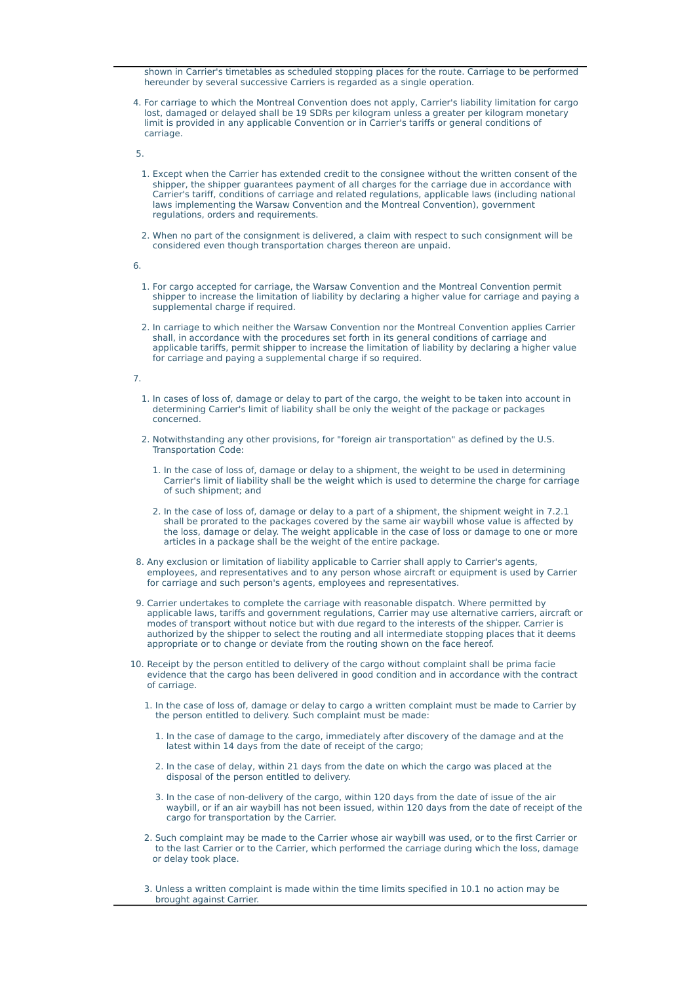shown in Carrier's timetables as scheduled stopping places for the route. Carriage to be performed hereunder by several successive Carriers is regarded as a single operation.

 4. For carriage to which the Montreal Convention does not apply, Carrier's liability limitation for cargo lost, damaged or delayed shall be 19 SDRs per kilogram unless a greater per kilogram monetary limit is provided in any applicable Convention or in Carrier's tariffs or general conditions of carriage.

5.

- 1. Except when the Carrier has extended credit to the consignee without the written consent of the shipper, the shipper guarantees payment of all charges for the carriage due in accordance with Carrier's tariff, conditions of carriage and related regulations, applicable laws (including national laws implementing the Warsaw Convention and the Montreal Convention), government regulations, orders and requirements.
- 2. When no part of the consignment is delivered, a claim with respect to such consignment will be considered even though transportation charges thereon are unpaid.

6.

- 1. For cargo accepted for carriage, the Warsaw Convention and the Montreal Convention permit shipper to increase the limitation of liability by declaring a higher value for carriage and paying a supplemental charge if required.
- 2. In carriage to which neither the Warsaw Convention nor the Montreal Convention applies Carrier shall, in accordance with the procedures set forth in its general conditions of carriage and applicable tariffs, permit shipper to increase the limitation of liability by declaring a higher value for carriage and paying a supplemental charge if so required.

7.

- 1. In cases of loss of, damage or delay to part of the cargo, the weight to be taken into account in determining Carrier's limit of liability shall be only the weight of the package or packages concerned.
- 2. Notwithstanding any other provisions, for "foreign air transportation" as defined by the U.S. Transportation Code:
	- 1. In the case of loss of, damage or delay to a shipment, the weight to be used in determining Carrier's limit of liability shall be the weight which is used to determine the charge for carriage of such shipment; and
	- 2. In the case of loss of, damage or delay to a part of a shipment, the shipment weight in 7.2.1 shall be prorated to the packages covered by the same air waybill whose value is affected by the loss, damage or delay. The weight applicable in the case of loss or damage to one or more articles in a package shall be the weight of the entire package.
- 8. Any exclusion or limitation of liability applicable to Carrier shall apply to Carrier's agents, employees, and representatives and to any person whose aircraft or equipment is used by Carrier for carriage and such person's agents, employees and representatives.
- 9. Carrier undertakes to complete the carriage with reasonable dispatch. Where permitted by applicable laws, tariffs and government regulations, Carrier may use alternative carriers, aircraft or modes of transport without notice but with due regard to the interests of the shipper. Carrier is authorized by the shipper to select the routing and all intermediate stopping places that it deems appropriate or to change or deviate from the routing shown on the face hereof.
- 10. Receipt by the person entitled to delivery of the cargo without complaint shall be prima facie evidence that the cargo has been delivered in good condition and in accordance with the contract of carriage.
	- 1. In the case of loss of, damage or delay to cargo a written complaint must be made to Carrier by the person entitled to delivery. Such complaint must be made:
		- 1. In the case of damage to the cargo, immediately after discovery of the damage and at the latest within 14 days from the date of receipt of the cargo;
		- 2. In the case of delay, within 21 days from the date on which the cargo was placed at the disposal of the person entitled to delivery.
		- 3. In the case of non-delivery of the cargo, within 120 days from the date of issue of the air waybill, or if an air waybill has not been issued, within 120 days from the date of receipt of the cargo for transportation by the Carrier.
	- 2. Such complaint may be made to the Carrier whose air waybill was used, or to the first Carrier or to the last Carrier or to the Carrier, which performed the carriage during which the loss, damage or delay took place.
	- 3. Unless a written complaint is made within the time limits specified in 10.1 no action may be brought against Carrier.